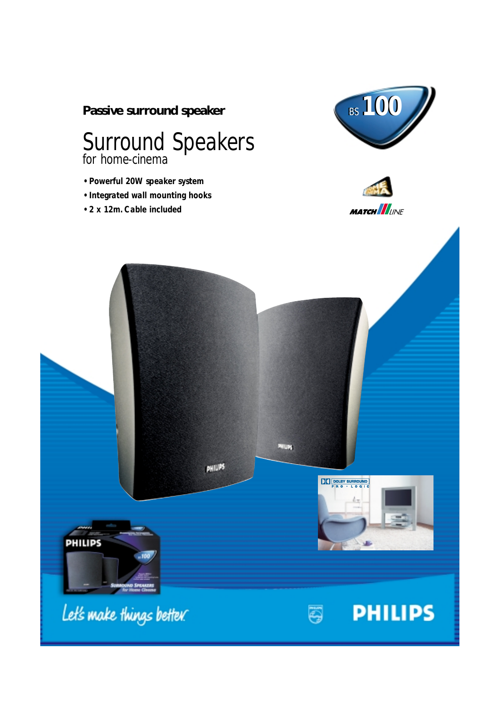